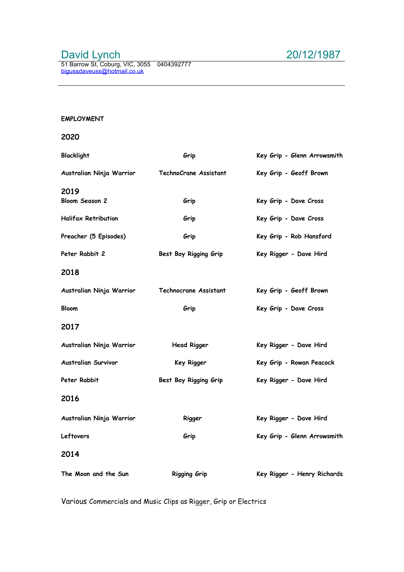# David Lynch 20/12/1987

# **EMPLOYMENT**

## **2020**

| Blacklight                    | Grip                  | Key Grip - Glenn Arrowsmith |
|-------------------------------|-----------------------|-----------------------------|
| Australian Ninja Warrior      | TechnoCrane Assistant | Key Grip - Geoff Brown      |
| 2019<br><b>Bloom Season 2</b> | Grip                  | Key Grip - Dave Cross       |
| <b>Halifax Retribution</b>    | Grip                  | Key Grip - Dave Cross       |
| Preacher (5 Episodes)         | Grip                  | Key Grip - Rob Hansford     |
| Peter Rabbit 2                | Best Boy Rigging Grip | Key Rigger - Dave Hird      |
| 2018                          |                       |                             |
| Australian Ninja Warrior      | Technocrane Assistant | Key Grip - Geoff Brown      |
| <b>Bloom</b>                  | Grip                  | Key Grip - Dave Cross       |
| 2017                          |                       |                             |
| Australian Ninja Warrior      | <b>Head Rigger</b>    | Key Rigger - Dave Hird      |
| <b>Australian Survivor</b>    | Key Rigger            | Key Grip - Rowan Peacock    |
| Peter Rabbit                  | Best Boy Rigging Grip | Key Rigger - Dave Hird      |
| 2016                          |                       |                             |
| Australian Ninja Warrior      | Rigger                | Key Rigger - Dave Hird      |
| Leftovers                     | Grip                  | Key Grip - Glenn Arrowsmith |
| 2014                          |                       |                             |
| The Moon and the Sun          | <b>Rigging Grip</b>   | Key Rigger - Henry Richards |

Various Commercials and Music Clips as Rigger, Grip or Electrics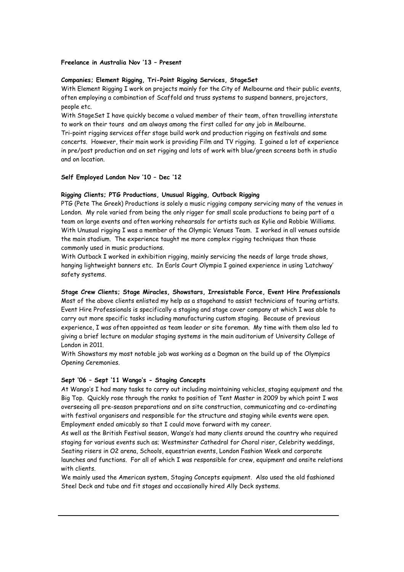#### **Freelance in Australia Nov '13 – Present**

## **Companies; Element Rigging, Tri-Point Rigging Services, StageSet**

With Element Rigging I work on projects mainly for the City of Melbourne and their public events, often employing a combination of Scaffold and truss systems to suspend banners, projectors, people etc.

With StageSet I have quickly become a valued member of their team, often travelling interstate to work on their tours and am always among the first called for any job in Melbourne. Tri-point rigging services offer stage build work and production rigging on festivals and some concerts. However, their main work is providing Film and TV rigging. I gained a lot of experience in pre/post production and on set rigging and lots of work with blue/green screens both in studio and on location.

### **Self Employed London Nov '10 – Dec '12**

#### **Rigging Clients; PTG Productions, Unusual Rigging, Outback Rigging**

PTG (Pete The Greek) Productions is solely a music rigging company servicing many of the venues in London. My role varied from being the only rigger for small scale productions to being part of a team on large events and often working rehearsals for artists such as Kylie and Robbie Williams. With Unusual rigging I was a member of the Olympic Venues Team. I worked in all venues outside the main stadium. The experience taught me more complex rigging techniques than those commonly used in music productions.

With Outback I worked in exhibition rigging, mainly servicing the needs of large trade shows, hanging lightweight banners etc. In Earls Court Olympia I gained experience in using 'Latchway' safety systems.

#### **Stage Crew Clients; Stage Miracles, Showstars, Irresistable Force, Event Hire Professionals**

Most of the above clients enlisted my help as a stagehand to assist technicians of touring artists. Event Hire Professionals is specifically a staging and stage cover company at which I was able to carry out more specific tasks including manufacturing custom staging. Because of previous experience, I was often appointed as team leader or site foreman. My time with them also led to giving a brief lecture on modular staging systems in the main auditorium of University College of London in 2011.

With Showstars my most notable job was working as a Dogman on the build up of the Olympics Opening Ceremonies.

#### **Sept '06 – Sept '11 Wango's - Staging Concepts**

At Wango's I had many tasks to carry out including maintaining vehicles, staging equipment and the Big Top. Quickly rose through the ranks to position of Tent Master in 2009 by which point I was overseeing all pre-season preparations and on site construction, communicating and co-ordinating with festival organisers and responsible for the structure and staging while events were open. Employment ended amicably so that I could move forward with my career.

As well as the British Festival season, Wango's had many clients around the country who required staging for various events such as; Westminster Cathedral for Choral riser, Celebrity weddings, Seating risers in O2 arena, Schools, equestrian events, London Fashion Week and corporate launches and functions. For all of which I was responsible for crew, equipment and onsite relations with clients.

We mainly used the American system, Staging Concepts equipment. Also used the old fashioned Steel Deck and tube and fit stages and occasionally hired Ally Deck systems.